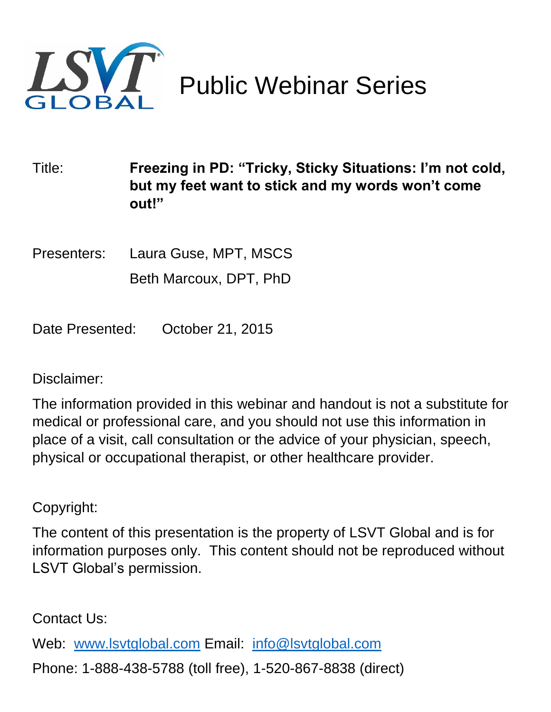

Public Webinar Series

Title: **Freezing in PD: "Tricky, Sticky Situations: I'm not cold, but my feet want to stick and my words won't come out!"**

Presenters: Laura Guse, MPT, MSCS Beth Marcoux, DPT, PhD

Date Presented: October 21, 2015

#### Disclaimer:

The information provided in this webinar and handout is not a substitute for medical or professional care, and you should not use this information in place of a visit, call consultation or the advice of your physician, speech, physical or occupational therapist, or other healthcare provider.

Copyright:

The content of this presentation is the property of LSVT Global and is for information purposes only. This content should not be reproduced without LSVT Global's permission.

Contact Us:

Web: [www.lsvtglobal.com](http://www.lsvtglobal.com/) Email: [info@lsvtglobal.com](mailto:info@lsvtglobal.com)

Phone: 1-888-438-5788 (toll free), 1-520-867-8838 (direct)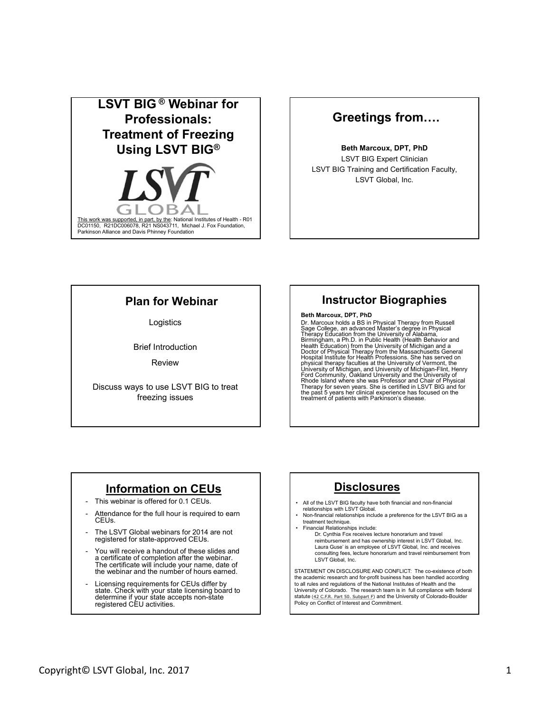

#### Greetings from….

Beth Marcoux, DPT, PhD LSVT BIG Expert Clinician LSVT BIG Training and Certification Faculty, LSVT Global, Inc.

#### Plan for Webinar

Brief Introduction **Brief Introduction** 

Discuss ways to use LSVT BIG to treat freezing issues

#### Instructor Biographies

#### **Example 19 Example 19 Example 19 Example 19 Example 19 Example 19 Example 19 Example 19 Example 19 Example 19 Example 19 Example 19 Example 19 Example 19 Example 19 Example 19 Example 19 Example 19 Example 19 Example 19 E** Beth Marcoux, DPT, PhD

Review Prophet Prophet Montant Control Prophet Prophet Prophet Prophet Prophet Prophet Prophet Prophet Prophet Prophet Prophet Prophet Prophet Prophet Prophet Prophet Prophet Prophet Prophet Prophet Prophet Prophet Prophet **Plan for Webinar**<br>
Logistics<br>
State case, per PhD<br>
State case, per PhD<br>
State case, per PhD<br>
State case, per PhD<br>
State case, per PhD<br>
State case, per PhD<br>
Nextrous Magnetics<br>
Nextrous Magnetics Magnetics Magnetics<br>
This **Plan for Webinar**<br>
Logistics<br>
Logistics<br>
Cr. Marcoux holds a Shi n Physics<br>
Save Colege an advanced Mass in the University for the University for the University of Marcous Mass in Physics<br>
The full hour is required to tr **Plan for Webinars and the numerice of the Minimigration CEUs**<br>
The Minimigran are not the minigram and the properties and the controller of the minigram are not the minigram are not the distribution of the minigram are n Logistics<br>  $\begin{array}{c|c|c|c} \textbf{Before} & \textbf{Case} & \textbf{Case} & \textbf{Case} & \textbf{Case} & \textbf{Case} & \textbf{Case} & \textbf{Case} & \textbf{Case} & \textbf{Case} & \textbf{Case} & \textbf{Case} & \textbf{Case} & \textbf{Case} & \textbf{Case} & \textbf{See} & \textbf{See} & \textbf{See} & \textbf{See} & \textbf{See} & \textbf{See} & \textbf{See} & \textbf{See} & \textbf{See} & \textbf{See} & \textbf{See} & \textbf{See} & \textbf{See} &$ The mitroductor and the control of Physical Review<br>
The Review<br>
The Review<br>
The European state of the List<br>
This webhara is offered for 0.1 CEUs<br>
This webhara is offered for 0.1 CEUs<br>
This webhara is offered for 0.1 CEUs<br> **Greetings from ....**<br> **Beth Marcoux, DPT, PhD**<br>
LSVT BIG Expert Clinician<br>
LSVT BIG Training and Certification Faculty,<br>
LSVT Global, Inc.<br> **INSTRUCTOF Biographies**<br> **Beth Marcoux, DPT, PhD**<br> **INSTRUCTOF Biographies**<br> **Be** Sage College, an advanced Master's degree in Physical<br>Therapy Education from the University of Alabama,<br>Birmingham, a Ph.D. in Public Health (Health Behavior and<br>Health Education) from the University of Michigan and a<br>Doct **FIND CONTROVERT CONTROVERT (THE CONTROVERT CONTROVERT CONTROVERT CONTROVERT CONTROVERT CONTROVERT CONTROVERT CONTROVERT CONTROVERT CONTROVERT (THE CONTROVERT CONTROVERT CONTROVERT CONTROVERT CONTROVERT CONTROVERT CONTROVE Example 12 and the control of the CHAT MEAN CONFIDENT (SCIRED THEORY AND SOLUTION CONFIDENTIES)**<br>
Show the capacitos and a proposed Master's degree in Physical Thereshow Education from the University of Mahama, capacitor **Financial Relationships in the Control of the Control of the CAME (SC MEGICAL METALEM CONTROL CONTROL CONTROL AND A SUPPRESS CONTROL CONTROL CONTROL CONTROL CONTROL CONTROL CONTROL CONTROL CONTROL CONTROL CONTROL CONTROL** 

#### Information on CEUs

- 
- CEUs.
- registered for state-approved CEUs.
- a certificate of completion after the webinar. The certificate will include your name, date of the webinar and the number of hours earned.
- Licensing requirements for CEUs differ by<br>state. Check with your state licensing board to determine if your state accepts non-state registered CEU activities.

#### **Disclosures**

- 
- relationships with LSVT Global.<br>Non-financial relationships include a preference for the LSVT BIG as a treatment technique.<br>• Financial Relationships include:
- 
- Dr. Cynthia Fox receives lecture honorarium and travel reimbursement and has ownership interest in LSVT Global, Inc. Laura Guse' is an employee of LSVT Global, Inc. and receives consulting fees, lecture honorarium and travel reimbursement from

Copyright© LSVT Global, Inc. 2017<br>
Copyright© LSVT Global, Inc. 2017<br>
Copyright© LSVT Global, Inc. 2017<br>
Copyright© LSVT Global, Inc. 2017<br>
Copyright© LSVT Global, Inc. 2017<br>
Copyright© LSVT Global, Inc. 2017<br>
Copyright© L STATEMENT ON DISCLOSURE AND CONFLICT: The co-existence of both the academic research and for-profit business has been handled according to all rules and regulations of the National Institutes of Health and the University of Colorado. The research team is in full compliance with federal statute (<u>42 C.F.R. Part 50. Subpart F</u>) and the University of Colorado-Boulder<br>Policy on Conflict of Interest and Commitment.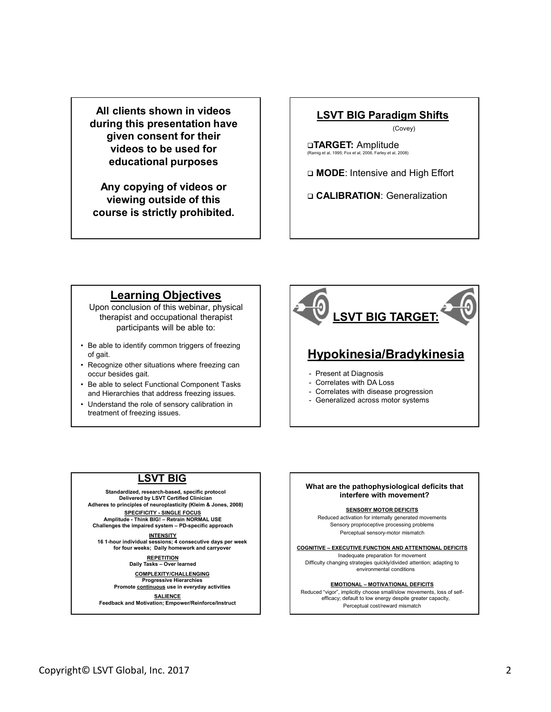All clients shown in videos during this presentation have given consent for their videos to be used for educational purposes

Any copying of videos or viewing outside of this course is strictly prohibited.

#### LSVT BIG Paradigm Shifts

(Covey)

TARGET: Amplitude (Ramig et al, 1995; Fox et al, 2006, Farley et al, 2008)

□ MODE: Intensive and High Effort

□ CALIBRATION: Generalization

#### Learning Objectives

Upon conclusion of this webinar, physical therapist and occupational therapist participants will be able to:

- of gait.
- occur besides gait.
- 
- treatment of freezing issues.



#### LSVT BIG

Standardized, research-based, specific protocol Delivered by LSVT Certified Clinician Adheres to principles of neuroplasticity (Kleim & Jones, 2008)

INTENSITY 16 1-hour individual sessions; 4 consecutive days per week

Progressive Hierarchies<br>
Promote continuous use in everyday activities<br>
Promote continuous use in everyday activities<br>
Promote Continuous use in everyday activities

Feedback and Motivation; Empower/Reinforce/Instruct



**SENSORY MOTOR DEFICITS** 

Reduced activation for internally generated movements Sensory proprioceptive processing problems

for four weeks; Daily homework and carryover<br>
REPETITION DAILY TASKS – Over learned Difficulty changing strategies quickly/divided attention; adapting to<br>
Daily Tasks – Over learned Difficulty changing strategies quickly/d Inadequate preparation for movement

Reduced "vigor", implicitly choose small/slow movements, loss of self-<br>efficacy; default to low energy despite greater capacity, Perceptual cost/reward mismatch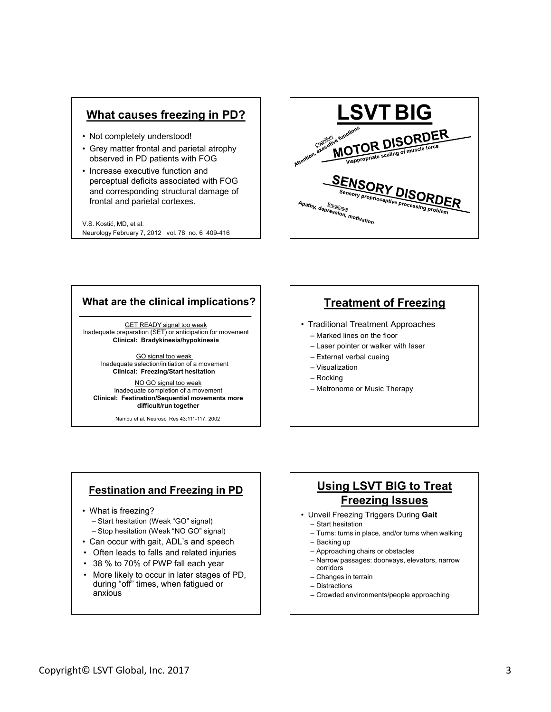#### What causes freezing in PD?

- 
- 
- perceptual deficits associated with FOG frontal and parietal cortexes.

V.S. Kostić, MD, et al. Neurology February 7, 2012 vol. 78 no. 6 409-416



#### What are the clinical implications?

GET READY signal too weak Inadequate preparation (SET) or anticipation for movement | Marked lines on the floor Clinical: Bradykinesia/hypokinesia<br>
- Laser pointer or walker with laser

GO signal too weak Inadequate selection/initiation of a movement Clinical: Freezing/Start hesitation

NO GO signal too weak Inadequate completion of a movement Clinical: Festination/Sequential movements more difficult/run together **What are the clinical implications?**<br>  $\frac{\text{GET READY signal too weak}}{\text{Indeed on the 1.5} and \text{which is a real, with one of the 2.5} and \text{ which is a a linear combination of a non-constant.}\n\text{Cilincal: Bradykinesia/hypokinesia}\n\text{Indequate selection/initialsoid of a movement.\n\nChical: Readykinesia/hypokinesia\n\n Theorem 1: A1: B2: A2: B3: B4: B5: A5: B5: A6: B6: B7: B7: B8: A7: B8: A8: B8: A8: B8: A8: B8$ hat are the clinical implications?<br>
Sequale preparation (SET) or anticipated by overlap considerably positional interaction (SET) or and consider<br>
Clinical: Bradykinesial ypokinesia<br>
Inadequale selection/intalistic metal **hat are the clinical implications?**<br>
<br>
<br>
dequale preparation (SET) or anticipation for movement<br>
clinical: BradyMnesiaMypokinesia<br>
<br>
<br>
madequale solection/initiation of a movement<br>
Madequale completion of a movement<br>
M

Nambu et al. Neurosci Res 43:111-117, 2002

#### Treatment of Freezing

- -
	-
	-
	-
	-
	-

#### Festination and Freezing in PD

- -
- 
- 
- 
- 
- Examples and Freezing in PD<br>
Contributed to Treat<br>
 Star hestation (Weak "GO" signal)<br>
 Star hestation (Weak "GO" signal)<br>
 Can occur with gat, ADL's and speech<br>
 Combe leads to falls and related injuries<br>
 38 % to 7 • Can occur with gait, ADL's and speech • Often leads to falls and related injuries  $\begin{tabular}{|c|c|c|c|c|} \hline \textbf{Inaddquate preparation (SET) or value & \textbf{S} & \textbf{S} & \textbf{S} & \textbf{S} & \textbf{S} & \textbf{S} & \textbf{S} & \textbf{S} & \textbf{S} & \textbf{S} & \textbf{S} & \textbf{S} & \textbf{S} & \textbf{S} & \textbf{S} & \textbf{S} & \textbf{S} & \textbf{S} & \textbf{S} & \textbf{S} & \textbf{S} & \textbf{S} & \textbf{S} & \textbf{S} & \textbf{S} & \textbf{S} & \text$ For the active of a movement<br>
Madequale selection/intation of a movement<br>
Clinical: Feeding Start hestation<br>
Madequale completion of a movement<br>
When the control of a movement<br>
Clinical: Festination Sequential movements<br> during "off" times, when fatigued or anxious

#### Using LSVT BIG to Treat Freezing Issues • Traditional Treatment Approaches<br>• Traditional Treatment Approaches<br>• Laser pointer or walker with laser<br>• External verbal cueing<br>• Visualization<br>• Rocking<br>• Recking<br>• Metronome or Music Therapy<br>• Metronome or Music The Treatment of Freezing<br>
Fraditional Treatment Approaches<br>
- Marked lines on the floor<br>
- Laser pointer or walker with laser<br>
- Visualization<br>
- Nostail verbal cueing<br>
- Metronome or Music Therapy<br>
- Metronome or Music Thera Fraditional Treatment Approaches<br>
– Marked lines on the floor<br>
– Laser pointer or walker with laser<br>
– External verbal cueing<br>
– Rocking<br>
– Rocking<br>
– Metronome or Music Therapy<br> **LISING LSVT BIG to Treat<br>
– Metronome or M** Traditional Treatment Approaches<br>
— Marked lines on the floor<br>
— Laser pointer or walker with laser<br>
— External verbal cueing<br>
— Visualization<br>
— Rocking<br>
— Metronome or Music Therapy<br>
— Metronome or Music Therapy<br>
— Metro Fraditional Treatment Approaches<br>
– Marked lines on the floor<br>
– Laser pointer or walker with laser<br>
– Yistrania verbal cueing<br>
– Visualization<br>
– Nocking<br>
– Metronome or Music Therapy<br> **Listrania Constant Stace Stace Stac** ratunural riearum<br>
Framerica Photostophe Character (Figure 2016)<br>
- Raskralization<br>
- Rocking<br>
- Necking<br>
- Metronome or Music Therapy<br>
- Metronome or Music Therapy<br>
- Metronome or Music Therapy<br>
- Metronome or Music Thera - Laser pointer or walker with laser<br>
- Kisualization<br>
- Visualization<br>
- Rocking<br>
- Metronome or Music Therapy<br>
- Metronome or Music Therapy<br>
- Metronome or Music Therapy<br>
- Start hesitation<br>
- Turns: turns in place, and/ – External verbal cueing<br>
– Visualization<br>
– Rocking<br>
– Metronome or Music Therapy<br>
– Metronome or Music Therapy<br>
– Metronome or Music Therapy<br>
– Dirms: turns in place, and/or turns when walking<br>
– Start hesitation<br>
– Turn Lextent Controller<br>
The Visualization<br>
- Nisualization<br>
- Recking<br>
- Metronome or Music Therapy<br>
- Start hestation<br>
- Start hestation<br>
- Start hestation<br>
- Start hestation<br>
- Start hestation<br>
- Crowded environments/people

- -
- 
- 
- 
- - corridors
	-
	-
	-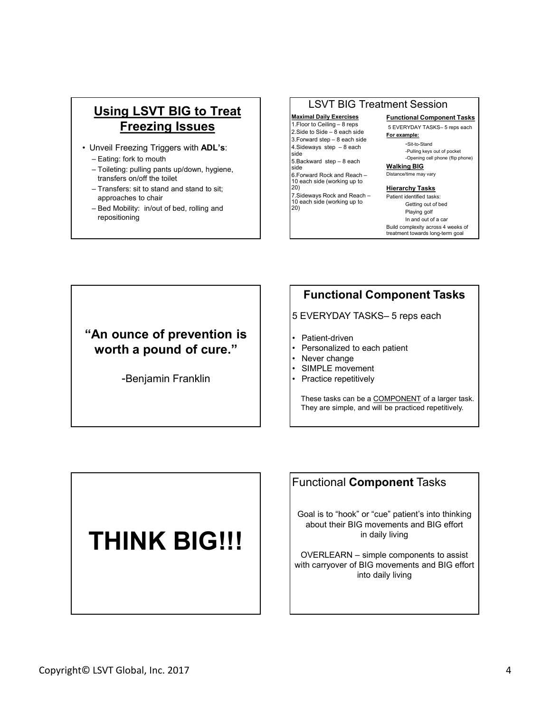### Using LSVT BIG to Treat  $\left| \right|$   $\left| \right|$   $\left| \right|$   $\left| \right|$   $\left| \right|$   $\left| \right|$   $\left| \right|$   $\left| \right|$   $\left| \right|$   $\left| \right|$   $\left| \right|$   $\left| \right|$   $\left| \right|$   $\left| \right|$   $\left| \right|$   $\left| \right|$   $\left| \right|$   $\left| \right|$   $\left| \right|$   $\left| \right|$   $\left| \right|$   $\left| \right|$ **Freezing Issues**  $\frac{1.5 \text{ No. Celling} - 8 \text{ reps}}{2.5 \text{ ide to Side} - 8 \text{ each side}}$ Using LSVT BIG to Treat<br>
Freezing Issues<br>
• Unveil Freezing Triggers with ADL's:<br>
− Eating: fork to mouth<br>
− Tolieting: pulling pants up/down, hygiene,<br>
transfers on/of the toilet<br>
= Transfers: sit to stand and stand to **Using LSVT BIG to Treat Maximal Daily Exercises**<br>
Freezing Issues<br>
Inveil Freezing Triggers with ADL's:<br>  $\begin{array}{r} \text{Exercise 1: } \begin{array}{r} \text{Maximal Daily Exercises} \\ \text{1: } \begin{array}{r} \text{Exercises} \\ \text{2: } \begin{array}{r} \text{Exercises} \\ \text{2: } \begin{array}{r} \text{Exercises} \\ \text{2: } \begin{array}{r} \text{Exercises} \\ \text{$ **Using LSVT BIG to Treat Maximal Dialy Exception**<br>
Freezing Issues<br>
Theoric Celling – 8 reps<br>
Theoric Celling – 8 reps<br>
Theoric Celling – 8 reps<br>
Theoric Celling – 8 reps<br>
Exailed by Signe and Sale to Side – 8 each side<br> Using LSVT BIG to Treat<br>
Freezing Issues<br>
Jnveil Freezing Triggers with ADL's:<br>
Theoric Celling – 8 reps<br>
Superbiding and the stand and stand to sit;<br>
Theoric Celling – 8 reps<br>
Superbiding – 8 reps<br>
Superbiding and the sta **Using LSVT BIG to Treat**<br> **Example 2018**<br> **Example 2018**<br> **Example 2018**<br> **Example 2018**<br> **Example 2018**<br> **Example 2019**<br> **Example 2019**<br> **Example 2019**<br> **Example 2019**<br> **Example 2019**<br> **Example 30 and 2019**<br> **Example 30**

- -
	- transfers on/off the toilet
	- approaches to chair
	- repositioning

#### LSVT BIG Treatment Session

 $\begin{tabular}{l|c|c|} \hline & {LSVT BIG Treatment Session} \\ \hline \textbf{Maximal Daily Exercises} & \textbf{Functional Component Tasks} \\ \hline 1. Floor to Ceiling - 8 reps & \textbf{5} \times \text{VERV DAY TASKS}-5 reps each \\ 2. Side to Side - 8 each side \\ \hline 3. Forward step - 8 each side \\ \hline 4. Stideways step - 8 each \\ side & \textbf{6} \times \textbf{6} & \textbf{6} \times \textbf{6} \times \textbf{7} \times \textbf{8} \times \textbf{8} \times \textbf{9} \times \textbf{1} \times \textbf{1} \times \textbf{1} \times$  $\begin{tabular}{l|c|c|c} \hline & LSVT-BIG Treatment Session \\ \hline \texttt{Maximal Daily Exercises} & \texttt{Functional Component Tasks} \\ \hline \texttt{1.Floor-toCeiling}-8 reps & \texttt{5EVERVDAY TASKS}-5 reps each \\ \hline \texttt{2.Side to Side}-8 each side & \texttt{For example:} \\ \texttt{3.Froward step}-8 each & \texttt{5Pexample:} \\ \texttt{4.Sideways step}-8 each & \texttt{-Sible:} \\ \texttt{5.Backward step}-8 each & \texttt{-Opening cell phone (flip phone)} \\ \texttt{5.Backward step}-8 each & \texttt{-Opening cell phone (flip phone)} \\ \texttt{6.Foward Rock and Re$  $\begin{tabular}{l|c|c|c} \hline & \multicolumn{3}{l}{\textbf{LSVT BIG Treatment Session}} \\ \hline \textbf{Maximal Daily Exercises} & \multicolumn{3}{l}{\textbf{Functional Component Tasks}} \\ \hline 1. \text{Foror to Celling-8 resp}\\ 2. \text{Side to Side} - 8 each side & \multicolumn{3}{l}{\textbf{5}-\textbf{EVPERYDAY TASKS-5} \textbf{reps each}} \\ \hline 3. \text{Forward step} - 8 each side & \multicolumn{3}{l}{\textbf{5}-\textbf{EVPRYDAY TASKS-5} \textbf{reps each}} \\ \hline 4. \text{Silebeays step} -$ **LSVT BIG Treatment Session**<br> **Maximal Daily Exercises**<br>
1.Floor to Ceiling – 8 reps<br>
1.Side to Side – 8 each side<br>
1.3.Forward step – 8 each side<br>
4.Sideways step – 8 each side<br>
5.Backward step – 8 each<br>
5.Backward step – side -Pulling keys out of pocket **LSVT BIG Treatment Session**<br>
Maximal Daily Exercises<br>
The Corto Celling – 8 reps<br>  $\frac{1}{2}$ . Such to Selice – 8 each side<br>  $\frac{3.5 \text{cover of } 8.8 \text{ csec of } 8.8 \text{ csec of } 8.8 \text{ dsec of } 8.8 \text{ dsec of } 8.8 \text{ dsec of } 8.8 \text{ dsec of } 8.8 \text{ dsec of } 8.8 \text$ 

side Walking BIG 6.Forward Rock and Reach – 10 each side (working up to

20) 7.Sideways Rock and Reach – 10 each side (working up to

20)

# Maximal Daily Exercises Functional Component Tasks The Session<br>
Functional Component Tasks<br>
5 EVERYDAY TASKS– 5 reps each<br>
For example:<br>
Sit-to-Stand<br>
-Pulling keys out of pocket<br>
-Opening cell phone (flip phone)<br>
Malking BIG<br>
Distance/time may vary

For example: -Sit-to-Stand

-Opening cell phone (flip phone)

Distance/time may vary

#### **Hierarchy Tasks**

Patient identified tasks: Getting out of bed Playing golf In and out of a car Build complexity across 4 weeks of treatment towards long-term goal **ESUT BIG Treatment Session**<br> **Example 26 reps example:**<br>
F. Froot to Gulling – 8 reps is a Side to Side – 8 each side<br>
5 Revenue Separations of the example:<br>
5 For example:<br>
5 For example:<br>
5 For example and pocket<br>
side LSVI BIG I reatment Session<br>
Maximal Daily Exercises<br>
2. Slow to Celling – 8 reps<br>
2. Slow to Side a Security of The Side and Consider<br>
5. For the Side of Side and Form of Patients<br>
5. Side was a star side of the phone<br>
3. Maximal Daily Exercises<br>
1. Floor to Celling – 8 reps<br>
2. Side to Side – 8 each side<br>
4. Side ways step – 8 each side<br>
4. Sideways step – 8 each<br>
4. Sideways step – 8 each<br>
4. Sideways step – 8 each<br>
2. Daily Maximal Big<br> Floot to Celling – 8 reps = 6 contained the particular schemes = 8 contained schemes = 8 contained schemes = 8 contained schemes and proposed and proposed and proposed and proposed and proposed and proposed and proposed at • Sixten waves the p-8 each side of the same of p-8 each of the Simmer sixten distribution depend of the phone of the phone of the phone of the Sixten distribution depend of the p-8 each of the Sixten distribution of the p A Sideways step - 8 each<br>
• Sideways step - 8 each<br>
• Sideways diep - 8 each<br>
• Sideways Rock and Reach – Distanceviline may way<br>
• Provat Rock and Reach – Distanceviline may way<br>
• To dech side (working up to<br>
• Practice From the and Reach -<br>
Distinction may vary<br>
showard Rock and Reach -<br>
Herarchy Tasks<br>
detays Rock and Reach -<br>
Paint Islamic Marks<br>
Celting out of bed<br>
Celting out of a car<br>
Functional Component Tasks<br>
Functional Component

#### "An ounce of prevention is  $\parallel$   $\parallel$ . Patient-driven worth a pound of cure." | Personalized to each patient | Never change

-Benjamin Franklin | | | | Practice repetitively

#### Functional Component Tasks

- 
- 
- 
- 
- 

They are simple, and will be practiced repetitively.

#### THINK BIG!!!

Functional Component Tasks

Goal is to "hook" or "cue" patient's into thinking about their BIG movements and BIG effort in daily living

Coal is to "hock" or "cue" patient's into thinking<br>
about their BIG enverents and BIG effort<br>
in daily living<br>
with carryover of BIG movements and BIG effort<br>
into daily living<br>
with carryover of BIG movements and BIG effo Patient-driven<br>
Personalized to each patient<br>
Never change<br>
SIMPLE movement<br>
Practice repetitively<br>
These tasks can be a <u>COMPONENT</u> of a larger task.<br>
They are simple, and will be practiced repetitively.<br>
<br> **UNICOMPONENT** with carryover of BIG movements and BIG effort into daily living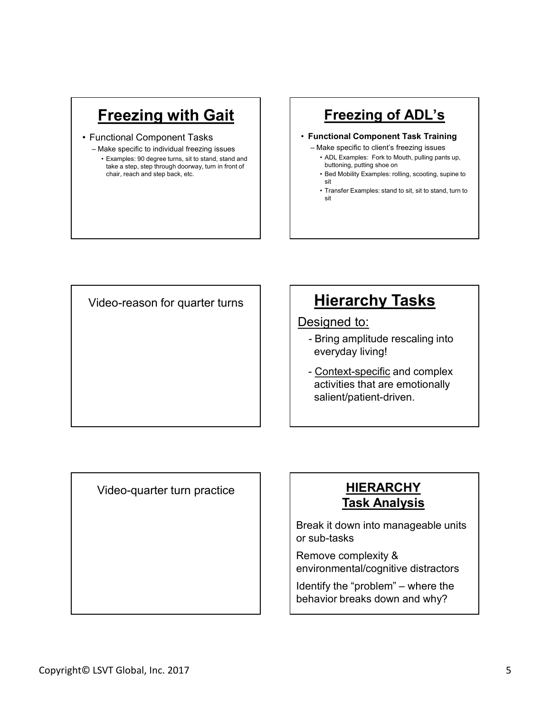#### **Freezing with Gait**

- 
- **Freezing with Gait**<br>
 Functional Component Tasks<br>
 Make specific to individual freezing issues<br>
 Examples: 80 degree turns, sitt of start, and step back, etc.<br>
texamples: sittle a step, site through doorway, turn in fr Freezing with Gait<br>
-<br>
- Eunctional Component Tasks<br>
- Make specific to individual freezing issues<br>
- Eunctional Compone<br>
- Make specific to client's<br>
- Make specific to client's<br>
- Make specific to client's<br>
- Make specif **Freezing with Gait**<br>
Inctional Component Tasks<br>
Alake specific to individual freezing issues<br>
Examples: 90 degree turns, sit to stand, stand and<br>
take a step, step through doorway, turn in front of<br>
thair, reach and step take a step, step through doorway, turn in front of chair, reach and step back, etc.

#### Freezing of ADL's

#### • Functional Component Task Training

- 
- buttoning, putting shoe on
- sit and the state of the state of the state of the state of the state of the state of the state of the state o
- Freezing of ADL's<br>
Functional Component Task Training<br>
 Make specific to client's freezing issues<br>
 ADL Examples: Fork to Mouth, pulling pants up,<br>
buttoning, putting shoe on<br>
 Bed Mobility Examples: rolling, scooting, **Freezing of ADL'S**<br> **Freezing Containstance ADUS**<br>
Aake specific to client's freezing issues<br>
ADLExamples: Fork to Mouth, pulling pants up,<br>
Buttoning, putting shoe on<br> **FREEXAMPLES:** For the Mouth, pulling pants up,<br>
sit **Freezing of ADL's**<br> **hoctional Component Task Training**<br>
Hake specific to client is freezing issues<br>  $\star$  ADL Examples: Fork to Mouth, pulling pants up,<br>
buttoning, putting shoe on<br>
Bed Mobility Examples: rolling, scootin **Freezing of ADL's**<br> **hosticianal Component Task Training**<br>
Aake specific to client's freezing issues<br>
ADL Examples: Fork to Moluth, pulling pants up,<br>
buttoning, putting shoe on<br>
Bed Mobility Examples: rolling, scooting, sit and the state of the state of the state of the state of the state of the state of the state of the state o

Video-reason for quarter turns

#### **Hierarchy Tasks**

#### Designed to:

- Bring amplitude rescaling into everyday living!
- Make specific to client's freezing issues<br>
 Make specific to client's freezing issues<br>
 ADL Examples: Fork to Mouth, pulling pants up,<br>
buttoning, putting shoo on<br>
Bed Mobility Examples: stand to sit, sit to stand, tur activities that are emotionally salient/patient-driven. everyday inving:<br>
- <u>Context-specific</u> and complex<br>
activities that are emotionally<br>
salient/patient-driven.<br>
<br> **IDERARCHY<br>
Task Analysis**<br>
Break it down into manageable units<br>
or sub-tasks<br>
Remove complexity &<br>
environmen

Video-quarter turn practice

#### **HIERARCHY Task Analysis**

Video-quarter turn practice<br>
Task Analysis<br>
Break it down into manageable units<br>
or sub-tasks<br>
Remove complexity &<br>
Remove complexity &<br>
environmental/cognitive distractors<br>
lentify the "problem" – where the<br>
behavior brea Break it down into manageable units or sub-tasks

Remove complexity & environmental/cognitive distractors

behavior breaks down and why?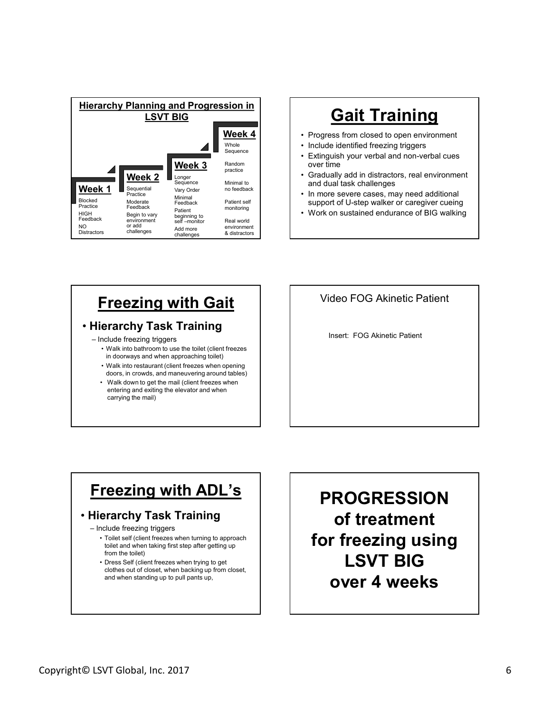

- **Week 4**  $\vert$  · Progress from closed to open environment
	-
- Whole **Captain Contains Container Container Container Container Container** Sequence Container Container Container<br> **Extinguish your verbal and non-verbal cues**<br> **Extinguish your verbal and non-verbal cues** over time
- Sequence Minimal to **and dual task challenges** • Gradually add in distractors, real environment **Gait Training<br>• Progress from closed to open environment<br>• Include identified freezing triggers<br>• Extinguish your verbal and non-verbal cues<br>• Gradually add in distractors, real environment<br>and dual task challenges<br>• The Gait Training<br>• Progress from closed to open environment<br>• Include identified freezing triggers<br>• Extinguish your verbal and non-verbal cues<br>wer time<br>• Gradually add in distractors, real environment<br>• In more severe cases Gait Training<br>• Progress from closed to open environment<br>• Include identified freezing triggers<br>• Extinguish your verbal and non-verbal cues<br>• Cradually add in distractors, real environment<br>• and dual task challenges<br>• In Gait Training**<br>• Progress from closed to open environment<br>• Include identified freezing triggers<br>• Extinguish your verbal and non-verbal cues<br>• Gradually add in distractors, real environment<br>and dual task challenges<br>• In **Gait Training**<br>• Progress from closed to open environment<br>• Include identified freezing triggers<br>• Extinguish your verbal and non-verbal cues<br>• Oradually add in distractors, real environment<br>and dual task challenges<br>• In **Gait Training**<br>• Progress from closed to open environment<br>• Include identified freezing triggers<br>• Extinguish your verbal and non-verbal cues<br>over time<br>and dual task challenges<br>• In more severe cases, may need additional<br> **Gait Training**<br>
or ses from closed to open environment<br>
que identified freezing triggers<br>
Inguish your verbal and non-verbal cues<br>
r time<br>
dual task challenges<br>
nore severe cases, may need additional<br>
port of U-step walke **Gait Training**<br>
ess from closed to open environment<br>
le identified freezing triggers<br>
sully add in distractors, real environment<br>
ual task challenges<br>
ers evere cases, may need additional<br>
on sustained endurance of BIG wa
- Minimal<br>Feedback Patient self support of U-step walker or caregiver cueing<br>Patient monitoring monitoring
	-

#### **Freezing with Gait | | Video FOG Akinetic Patient**

#### • Hierarchy Task Training<br>
Insert: FOG Akinetic Patient

- - in doorways and when approaching toilet)
	- doors, in crowds, and maneuvering around tables)
- entering and exiting the elevator and when carrying the mail)

#### Freezing with ADL's

#### • Hierarchy Task Training

- toilet and when taking first step after getting up from the toilet)
- clothes out of closet, when backing up from closet, and when standing up to pull pants up,

Copyright© LSVT Global, Inc. 2017 6<br>
Copyright© LSVT Global, Inc. 2017 6<br>
Copyright© LSVT Global, Inc. 2017 6<br>
Copyright© LSVT Global, Inc. 2017 6<br>
Copyright© LSVT Global, Inc. 2017 6<br>
Copyright© LSVT Global, Inc. 2017 6<br> Freezing with Gait<br>
Hierarchy Task Training<br>
Include freezing triggers<br>
in doorways and when approaching leidel<br>
Walk into be data manusuring die the bilet (client freezes<br>
doors, in crowds, and manusuring around bilet)<br>
W **Freezing with Gait**<br> **Example 18 Contained Secure Secure 2014**<br> **Example 18 Contained Container and container (client freezes**<br> **To deviation to get the mail (client freezes when opening**<br> **Contained and the mail (client Franchy Task Training**<br> **Example 2011** The Mooneya of When happroaching biled (client freezes when opening<br>
in doors, in crowis, and manual client freezes when opening<br>
doors, in crowis, and manual client freezes when<br>
en PROGRESSION of treatment for freezing using LSVT BIG over 4 weeks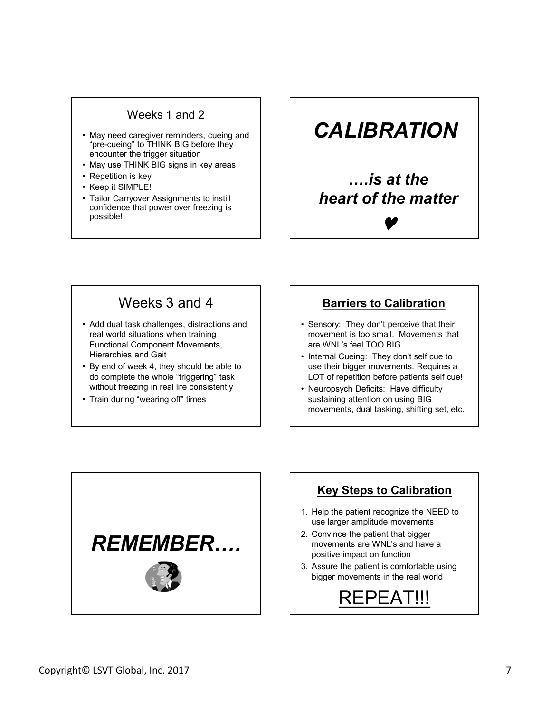#### Weeks 1 and 2

- Weeks 1 and 2<br>
 May need caregiver reminders, cueing and<br>
"pre-cueing" to THINK BIG before they<br>
encounter the trigger situation<br>
 May use THINK BIG signs in key areas<br>
 Repetition is key<br>
 Keep it SIMPLE! "pre-cueing" to THINK BIG before they encounter the trigger situation Weeks 1 and 2<br>
• May need caregiver reminders, cueing and<br>
"pre-cueing" to THINK BIG before they<br>
• May use THINK BIG signs in key areas<br>
• Repetition is key<br>
• Keep it SIMPLE!<br>
• Tailor Carryover Assignments to instill<br>
c Weeks 1 and 2<br>
• May need caregiver reminders, cueing and<br>
"pre-cueing" to THINK BIG before they<br>
encounter the trigger situation<br>
• Repetition is key<br>
• Repetition is key<br>
• Repetition is key<br>
• Repetition is key<br>
• Repet Weeks 1 and 2<br>
• May need caregiver reminders, cueing and<br>
"pre-cueing" to THINK BIG before they<br>
• May use THINK BIG signs in key areas<br>
• Repetition is key<br>
• Tellior Carryover Assignments to instill<br>
• Tailor Carryover Weeks 1 and 2<br>
• May need caregiver reminders, cueing and<br>
"pre-cueing" to THINK BIG before they<br>
encounter the trigger situation<br>
• May use THINK BIG signs in key areas<br>
• Repetition is key<br>
• Keep it SIMPLE!<br>
• Tailor Ca
- 
- 
- 
- confidence that power over freezing is possible!

#### **CALIBRATION**

## ….is at the heart of the matter **CALIBRATION**<br>
....is at the<br>
heart of the matter<br> **v**<br> **Sarriers to Calibration**<br>
Sensory: They don't perceive that their<br>
novement is too small. Movements that<br>
are WNL's feel TOO BIG.<br>
Internal Cueing: They don't self c **CALIBRATION**<br>
.....is at the<br>
heart of the matter<br> **V**<br> **Exercise CALIDE CONSECT CONSECT**<br>
Sensory: They don't perceive that their<br>
movement is too small. Movements that<br>
are WNL's feel TOO BIG.<br>
I herenal Cueing: They do **FRACT STATE ASSET ASSET ASSET ASSET ASSET ASSET ASSET AND A DETERMIND THE MOVEM CONTINUITY OF A UNITED ASSET AND THE MINITY SET AND THE MINITY SET AND USE A LOT of repetition before patients self cuel Nusulatining attenti**

#### Weeks 3 and 4

- Weeks 1 and 2<br>
"The-cueing" to THINK BIG before they<br>
encounter the trigger situation<br>
 May use FHINK BIG signs in key areas<br>
 Repetition is key<br>
 Repetition is key<br>
 Repetition is key<br>
 CALIBI<br>
 CALIBI<br>
 CALIBI<br>
 real world situations when training Functional Component Movements, Hierarchies and Gait • May need caregiver reminders, cueing and<br>
• Fre-cueing" to THINK BIG signs in key areas<br>
• Repetition is key<br>
• Tailor Carryover Assignments to instill<br>
• Carryover Assignments to instill<br>
• Carryover Assignments to inst • May use HINN BIG signs in key areas<br>• Repetition is key<br>• Train Carryover Assignments to instill<br>possible!<br>• Train during to the the signs in the power over freezing is<br>the art of the small of the small of the small of t
- do complete the whole "triggering" task without freezing in real life consistently  $\begin{vmatrix} \cdot & \cdot & \cdot \\ \cdot & \cdot & \cdot \\ \cdot & \cdot & \cdot \end{vmatrix}$  . Neuropsych Deficits: Have difficulty
- 

#### Barriers to Calibration

- movement is too small. Movements that are WNL's feel TOO BIG.
- use their bigger movements. Requires a LOT of repetition before patients self cue!
- sustaining attention on using BIG movements, dual tasking, shifting set, etc.